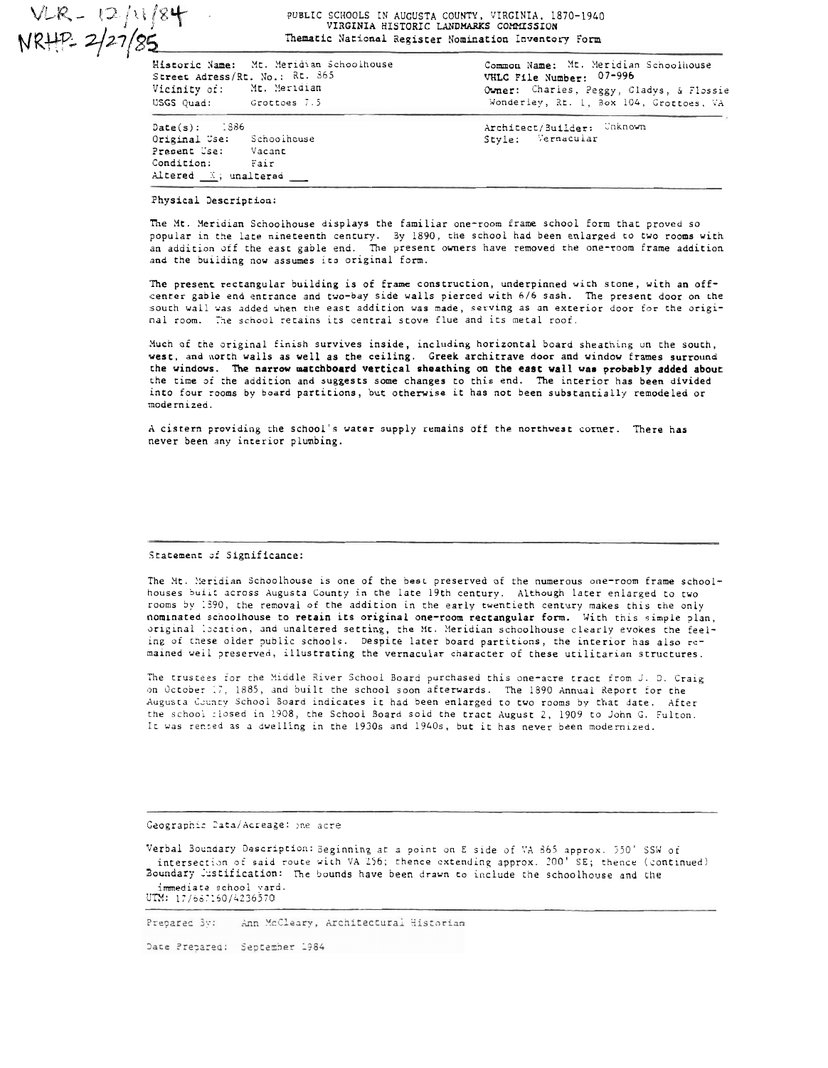VLR - 12/11/84<br>NRHP 2/27/85

## PUBLIC SCHOOLS IN AUGUSTA COUNTY, VIRGINIA, 1870-1940<br>VIRGINIA HISTORIC LANDMARKS COMMISSION Thematic National Register Nomination Inventory Form

| Street Adress/Rt. No.: Rt. 865<br>Vicinity of: Mt. Meridian<br>USGS Quad: Grottoes 7.5                             | Historic Name: Mt. Meridian Schoolhouse | Common Name: Mt. Meridian Schoolhouse<br>VHLC File Number: 07-996<br>Owner: Charles, Peggy, Gladys, & Flossie<br>Wonderley, Rt. I, Box 104, Grottoes, VA |
|--------------------------------------------------------------------------------------------------------------------|-----------------------------------------|----------------------------------------------------------------------------------------------------------------------------------------------------------|
| $Date(s):$ : 386<br>Original Use: Schoolhouse<br>Present Use: Vacant<br>Condition: Fair<br>Altered $X$ ; unaltered |                                         | Architect/Builder: Unknown<br>Style: Vernacular                                                                                                          |

## Physical Description:

The Mt. Meridian Schoolhouse displays the familiar one-room frame school form that proved so popular in the late nineteenth century. By 1890, the school had been enlarged to two rooms with .<br>an addition off the east gable end. The present owners have removed the one-room frame addition and the building now assumes its original form.

The present rectangular building is of frame construction, underpinned with stone, with an offcenter gable end entrance and two-bay side walls pierced with 6/6 sash. The present door on the south wail was added when the east addition was made, serving as an exterior door for the original room. The school retains its central stove flue and its metal roof.

Much of the original finish survives inside, including horizontal board sheathing on the south, west, and north walls as well as the ceiling. Greek architrave door and window frames surround the windows. The narrow matchboard vertical sheathing on the east wall was probably added about the time of the addition and suggests some changes to this end. The interior has been divided into four rooms by board partitions, but otherwise it has not been substantially remodeled or modernized.

A cistern providing the school's water supply remains off the northwest corner. There has never been any interior plumbing.

## Statement of Significance:

The Mt. Meridian Schoolhouse is one of the best preserved of the numerous one-room frame schoolhouses built across Augusta County in the late 19th century. Although later enlarged to two rooms by 1390, the removal of the addition in the early twentieth century makes this the only nominated schoolhouse to retain its original one-room rectangular form. With this simple plan, original location, and unaltered setting, the Mt. Meridian schoolhouse clearly evokes the feeling of these older public schools. Despite later board partitions, the interior has also remained weil preserved, illustrating the vernacular character of these utilitarian structures.

The trustees for the Middle River School Board purchased this one-acre tract from J. D. Craig on October 17, 1885, and built the school soon afterwards. The 1890 Annual Report for the Augusta County School Board indicates it had been enlarged to two rooms by that date. After the school closed in 1908, the School Board sold the tract August 2, 1909 to John G. Fulton. It was rented as a dwelling in the 1930s and 1940s, but it has never been modernized.

Geographic Data/Acreage: one acre

Verbal Boundary Description: Seginning at a point on E side of VA 865 approx. 550' SSW of<br>intersection of said route with VA 256; thence extending approx. 200' SE; thence (continued) Boundary Justification: The bounds have been drawn to include the schoolhouse and the immediate school yard.<br>UTM: 17/687160/4236570

Prepared By: Ann McCleary, Architectural Historian

Date Prepared: September 1984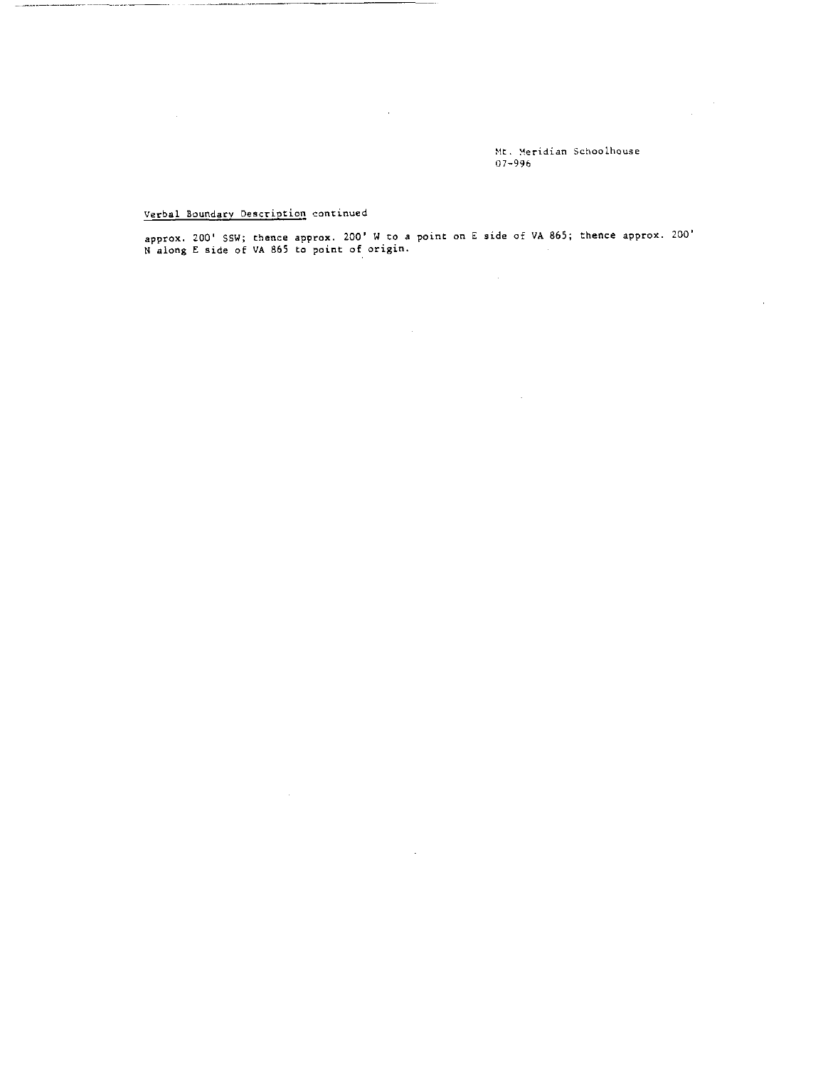**PIC. Ueridian Schoolhouse 07-996** 

l.

 $\mathcal{L}^{\text{max}}_{\text{max}}$  and  $\mathcal{L}^{\text{max}}_{\text{max}}$ 

 $\sim 10$ 

## **Verbal Boundarv Description continued**

 $\sim$ 

**approx. 200' SSW; thence approx. 200' W to** *a* **point on E side a€ VA 865; thence approx. 200' N along** *E* **side of VA 865 to paint of origin.** 

 $\sim$ 

 $\sim 10^7$